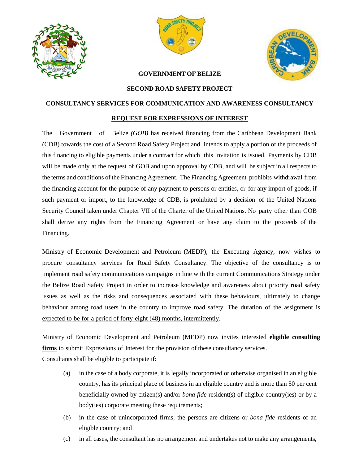





## **GOVERNMENT OF BELIZE**

## **SECOND ROAD SAFETY PROJECT**

## **CONSULTANCY SERVICES FOR COMMUNICATION AND AWARENESS CONSULTANCY**

## **REQUEST FOR EXPRESSIONS OF INTEREST**

The Government of Belize *(GOB)* has received financing from the Caribbean Development Bank (CDB) towards the cost of a Second Road Safety Project and intends to apply a portion of the proceeds of this financing to eligible payments under a contract for which this invitation is issued. Payments by CDB will be made only at the request of GOB and upon approval by CDB, and will be subject in all respects to the terms and conditions of the Financing Agreement. The Financing Agreement prohibits withdrawal from the financing account for the purpose of any payment to persons or entities, or for any import of goods, if such payment or import, to the knowledge of CDB, is prohibited by a decision of the United Nations Security Council taken under Chapter VII of the Charter of the United Nations. No party other than GOB shall derive any rights from the Financing Agreement or have any claim to the proceeds of the Financing.

Ministry of Economic Development and Petroleum (MEDP), the Executing Agency, now wishes to procure consultancy services for Road Safety Consultancy. The objective of the consultancy is to implement road safety communications campaigns in line with the current Communications Strategy under the Belize Road Safety Project in order to increase knowledge and awareness about priority road safety issues as well as the risks and consequences associated with these behaviours, ultimately to change behaviour among road users in the country to improve road safety. The duration of the assignment is expected to be for a period of forty-eight (48) months, intermittently.

Ministry of Economic Development and Petroleum (MEDP) now invites interested **eligible consulting firms** to submit Expressions of Interest for the provision of these consultancy services.

Consultants shall be eligible to participate if:

- (a) in the case of a body corporate, it is legally incorporated or otherwise organised in an eligible country, has its principal place of business in an eligible country and is more than 50 per cent beneficially owned by citizen(s) and/or *bona fide* resident(s) of eligible country(ies) or by a body(ies) corporate meeting these requirements;
- (b) in the case of unincorporated firms, the persons are citizens or *bona fide* residents of an eligible country; and
- (c) in all cases, the consultant has no arrangement and undertakes not to make any arrangements,